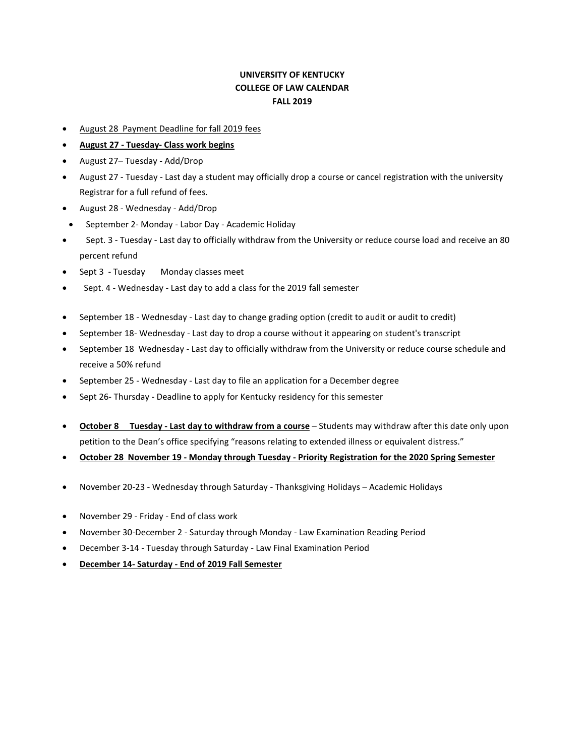## **UNIVERSITY OF KENTUCKY COLLEGE OF LAW CALENDAR FALL 2019**

- August 28 Payment Deadline for fall 2019 fees
- **August 27 - Tuesday- Class work begins**
- August 27– Tuesday Add/Drop
- August 27 Tuesday Last day a student may officially drop a course or cancel registration with the university Registrar for a full refund of fees.
- August 28 Wednesday Add/Drop
- September 2- Monday Labor Day Academic Holiday
- Sept. 3 Tuesday Last day to officially withdraw from the University or reduce course load and receive an 80 percent refund
- Sept 3 Tuesday Monday classes meet
- Sept. 4 Wednesday Last day to add a class for the 2019 fall semester
- September 18 Wednesday Last day to change grading option (credit to audit or audit to credit)
- September 18- Wednesday Last day to drop a course without it appearing on student's transcript
- September 18 Wednesday Last day to officially withdraw from the University or reduce course schedule and receive a 50% refund
- September 25 Wednesday Last day to file an application for a December degree
- Sept 26- Thursday Deadline to apply for Kentucky residency for this semester
- **October 8 Tuesday - Last day to withdraw from a course** Students may withdraw after this date only upon petition to the Dean's office specifying "reasons relating to extended illness or equivalent distress."
- **October 28 November 19 - Monday through Tuesday - Priority Registration for the 2020 Spring Semester**
- November 20-23 Wednesday through Saturday Thanksgiving Holidays Academic Holidays
- November 29 Friday End of class work
- November 30-December 2 Saturday through Monday Law Examination Reading Period
- December 3-14 Tuesday through Saturday Law Final Examination Period
- **December 14- Saturday - End of 2019 Fall Semester**